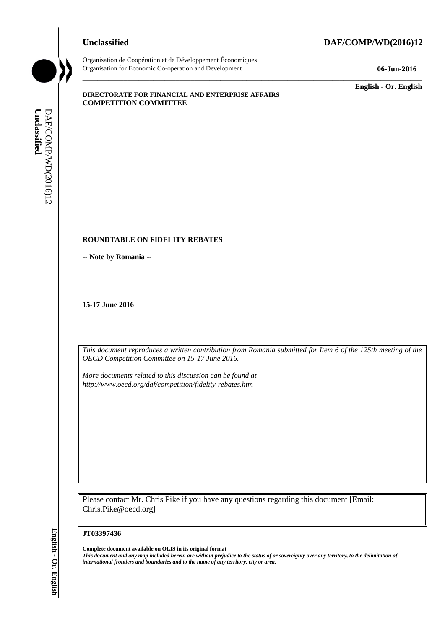### **Unclassified DAF/COMP/WD(2016)12**



Organisation de Coopération et de Développement Économiques Organisation for Economic Co-operation and Development **06-Jun-2016**

\_\_\_\_\_\_\_\_\_\_\_\_\_ **English - Or. English**

#### **DIRECTORATE FOR FINANCIAL AND ENTERPRISE AFFAIRS COMPETITION COMMITTEE**

#### **ROUNDTABLE ON FIDELITY REBATES**

**-- Note by Romania --**

**15-17 June 2016**

*This document reproduces a written contribution from Romania submitted for Item 6 of the 125th meeting of the OECD Competition Committee on 15-17 June 2016.* 

\_\_\_\_\_\_\_\_\_\_\_\_\_\_\_\_\_\_\_\_\_\_\_\_\_\_\_\_\_\_\_\_\_\_\_\_\_\_\_\_\_\_\_\_\_\_\_\_\_\_\_\_\_\_\_\_\_\_\_\_\_\_\_\_\_\_\_\_\_\_\_\_\_\_\_\_\_\_\_\_\_\_\_\_\_\_\_\_\_\_\_

*More documents related to this discussion can be found at http://www.oecd.org/daf/competition/fidelity-rebates.htm*

Please contact Mr. Chris Pike if you have any questions regarding this document [Email: Chris.Pike@oecd.org]

**JT03397436**

**Complete document available on OLIS in its original format** *This document and any map included herein are without prejudice to the status of or sovereignty over any territory, to the delimitation of*  **iii** *international frontiers and boundaries and boundaries and boundaries and DAF/COMP/WD(2016)*<br> **If any operator is and boundaries and boundaries and the name of any territory or area.**<br> **If any territory of any territ**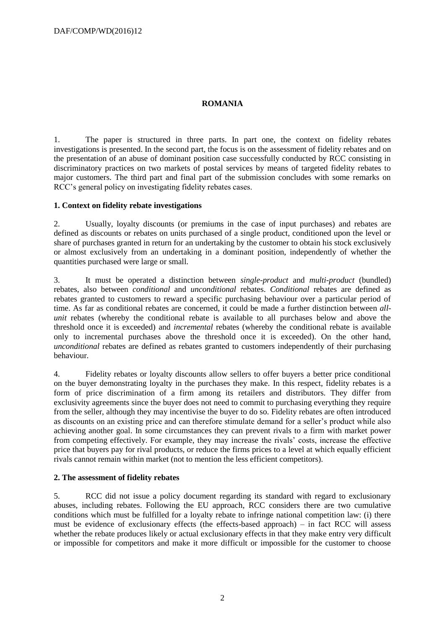# **ROMANIA**

1. The paper is structured in three parts. In part one, the context on fidelity rebates investigations is presented. In the second part, the focus is on the assessment of fidelity rebates and on the presentation of an abuse of dominant position case successfully conducted by RCC consisting in discriminatory practices on two markets of postal services by means of targeted fidelity rebates to major customers. The third part and final part of the submission concludes with some remarks on RCC's general policy on investigating fidelity rebates cases.

### **1. Context on fidelity rebate investigations**

2. Usually, loyalty discounts (or premiums in the case of input purchases) and rebates are defined as discounts or rebates on units purchased of a single product, conditioned upon the level or share of purchases granted in return for an undertaking by the customer to obtain his stock exclusively or almost exclusively from an undertaking in a dominant position, independently of whether the quantities purchased were large or small.

3. It must be operated a distinction between *single-product* and *multi-product* (bundled) rebates, also between *conditional* and *unconditional* rebates. *Conditional* rebates are defined as rebates granted to customers to reward a specific purchasing behaviour over a particular period of time. As far as conditional rebates are concerned, it could be made a further distinction between *allunit* rebates (whereby the conditional rebate is available to all purchases below and above the threshold once it is exceeded) and *incremental* rebates (whereby the conditional rebate is available only to incremental purchases above the threshold once it is exceeded). On the other hand, *unconditional* rebates are defined as rebates granted to customers independently of their purchasing behaviour.

4. Fidelity rebates or loyalty discounts allow sellers to offer buyers a better price conditional on the buyer demonstrating loyalty in the purchases they make. In this respect, fidelity rebates is a form of price discrimination of a firm among its retailers and distributors. They differ from exclusivity agreements since the buyer does not need to commit to purchasing everything they require from the seller, although they may incentivise the buyer to do so. Fidelity rebates are often introduced as discounts on an existing price and can therefore stimulate demand for a seller's product while also achieving another goal. In some circumstances they can prevent rivals to a firm with market power from competing effectively. For example, they may increase the rivals' costs, increase the effective price that buyers pay for rival products, or reduce the firms prices to a level at which equally efficient rivals cannot remain within market (not to mention the less efficient competitors).

# **2. The assessment of fidelity rebates**

5. RCC did not issue a policy document regarding its standard with regard to exclusionary abuses, including rebates. Following the EU approach, RCC considers there are two cumulative conditions which must be fulfilled for a loyalty rebate to infringe national competition law: (i) there must be evidence of exclusionary effects (the effects-based approach) – in fact RCC will assess whether the rebate produces likely or actual exclusionary effects in that they make entry very difficult or impossible for competitors and make it more difficult or impossible for the customer to choose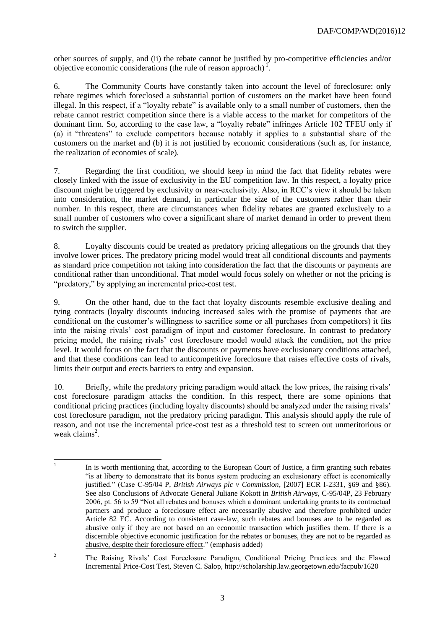other sources of supply, and (ii) the rebate cannot be justified by pro-competitive efficiencies and/or objective economic considerations (the rule of reason approach) $\frac{1}{1}$ .

6. The Community Courts have constantly taken into account the level of foreclosure: only rebate regimes which foreclosed a substantial portion of customers on the market have been found illegal. In this respect, if a "loyalty rebate" is available only to a small number of customers, then the rebate cannot restrict competition since there is a viable access to the market for competitors of the dominant firm. So, according to the case law, a "loyalty rebate" infringes Article 102 TFEU only if (a) it "threatens" to exclude competitors because notably it applies to a substantial share of the customers on the market and (b) it is not justified by economic considerations (such as, for instance, the realization of economies of scale).

7. Regarding the first condition, we should keep in mind the fact that fidelity rebates were closely linked with the issue of exclusivity in the EU competition law. In this respect, a loyalty price discount might be triggered by exclusivity or near-exclusivity. Also, in RCC's view it should be taken into consideration, the market demand, in particular the size of the customers rather than their number. In this respect, there are circumstances when fidelity rebates are granted exclusively to a small number of customers who cover a significant share of market demand in order to prevent them to switch the supplier.

8. Loyalty discounts could be treated as predatory pricing allegations on the grounds that they involve lower prices. The predatory pricing model would treat all conditional discounts and payments as standard price competition not taking into consideration the fact that the discounts or payments are conditional rather than unconditional. That model would focus solely on whether or not the pricing is "predatory," by applying an incremental price-cost test.

9. On the other hand, due to the fact that loyalty discounts resemble exclusive dealing and tying contracts (loyalty discounts inducing increased sales with the promise of payments that are conditional on the customer's willingness to sacrifice some or all purchases from competitors) it fits into the raising rivals' cost paradigm of input and customer foreclosure. In contrast to predatory pricing model, the raising rivals' cost foreclosure model would attack the condition, not the price level. It would focus on the fact that the discounts or payments have exclusionary conditions attached, and that these conditions can lead to anticompetitive foreclosure that raises effective costs of rivals, limits their output and erects barriers to entry and expansion.

10. Briefly, while the predatory pricing paradigm would attack the low prices, the raising rivals' cost foreclosure paradigm attacks the condition. In this respect, there are some opinions that conditional pricing practices (including loyalty discounts) should be analyzed under the raising rivals' cost foreclosure paradigm, not the predatory pricing paradigm. This analysis should apply the rule of reason, and not use the incremental price-cost test as a threshold test to screen out unmeritorious or weak claims<sup>2</sup>.

 $\frac{1}{1}$ In is worth mentioning that, according to the European Court of Justice, a firm granting such rebates "is at liberty to demonstrate that its bonus system producing an exclusionary effect is economically justified." (Case C-95/04 P, *British Airways plc v Commission*, [2007] ECR I-2331, §69 and §86). See also Conclusions of Advocate General Juliane Kokott in *British Airways,* C-95/04P, 23 February 2006, pt. 56 to 59 "Not all rebates and bonuses which a dominant undertaking grants to its contractual partners and produce a foreclosure effect are necessarily abusive and therefore prohibited under Article 82 EC. According to consistent case-law, such rebates and bonuses are to be regarded as abusive only if they are not based on an economic transaction which justifies them. If there is a discernible objective economic justification for the rebates or bonuses, they are not to be regarded as abusive, despite their foreclosure effect." (emphasis added)

<sup>&</sup>lt;sup>2</sup> The Raising Rivals' Cost Foreclosure Paradigm, Conditional Pricing Practices and the Flawed Incremental Price-Cost Test, Steven C. Salop, http://scholarship.law.georgetown.edu/facpub/1620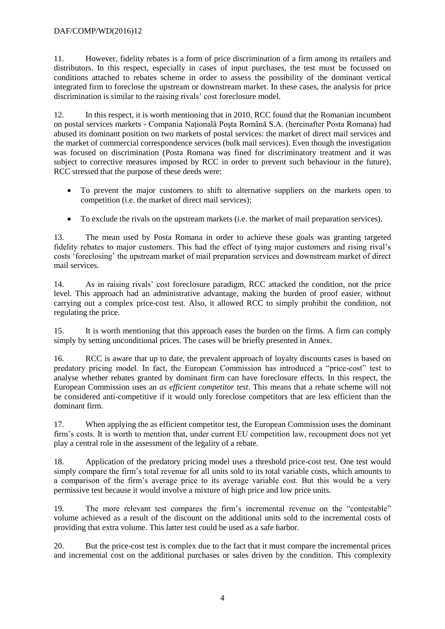# DAF/COMP/WD(2016)12

11. However, fidelity rebates is a form of price discrimination of a firm among its retailers and distributors. In this respect, especially in cases of input purchases, the test must be focussed on conditions attached to rebates scheme in order to assess the possibility of the dominant vertical integrated firm to foreclose the upstream or downstream market. In these cases, the analysis for price discrimination is similar to the raising rivals' cost foreclosure model.

12. In this respect, it is worth mentioning that in 2010, RCC found that the Romanian incumbent on postal services markets - Compania Naţională Poşta Română S.A. (hereinafter Posta Romana) had abused its dominant position on two markets of postal services: the market of direct mail services and the market of commercial correspondence services (bulk mail services). Even though the investigation was focused on discrimination (Posta Romana was fined for discriminatory treatment and it was subject to corrective measures imposed by RCC in order to prevent such behaviour in the future), RCC stressed that the purpose of these deeds were:

- To prevent the major customers to shift to alternative suppliers on the markets open to competition (i.e. the market of direct mail services);
- To exclude the rivals on the upstream markets (i.e. the market of mail preparation services).

13. The mean used by Posta Romana in order to achieve these goals was granting targeted fidelity rebates to major customers. This had the effect of tying major customers and rising rival's costs 'foreclosing' the upstream market of mail preparation services and downstream market of direct mail services.

14. As in raising rivals' cost foreclosure paradigm, RCC attacked the condition, not the price level. This approach had an administrative advantage, making the burden of proof easier, without carrying out a complex price-cost test. Also, it allowed RCC to simply prohibit the condition, not regulating the price.

15. It is worth mentioning that this approach eases the burden on the firms. A firm can comply simply by setting unconditional prices. The cases will be briefly presented in Annex.

16. RCC is aware that up to date, the prevalent approach of loyalty discounts cases is based on predatory pricing model. In fact, the European Commission has introduced a "price-cost" test to analyse whether rebates granted by dominant firm can have foreclosure effects. In this respect, the European Commission uses an *as efficient competitor test*. This means that a rebate scheme will not be considered anti-competitive if it would only foreclose competitors that are less efficient than the dominant firm.

17. When applying the as efficient competitor test, the European Commission uses the dominant firm's costs. It is worth to mention that, under current EU competition law, recoupment does not yet play a central role in the assessment of the legality of a rebate.

18. Application of the predatory pricing model uses a threshold price-cost test. One test would simply compare the firm's total revenue for all units sold to its total variable costs, which amounts to a comparison of the firm's average price to its average variable cost. But this would be a very permissive test because it would involve a mixture of high price and low price units.

19. The more relevant test compares the firm's incremental revenue on the "contestable" volume achieved as a result of the discount on the additional units sold to the incremental costs of providing that extra volume. This latter test could be used as a safe harbor.

20. But the price-cost test is complex due to the fact that it must compare the incremental prices and incremental cost on the additional purchases or sales driven by the condition. This complexity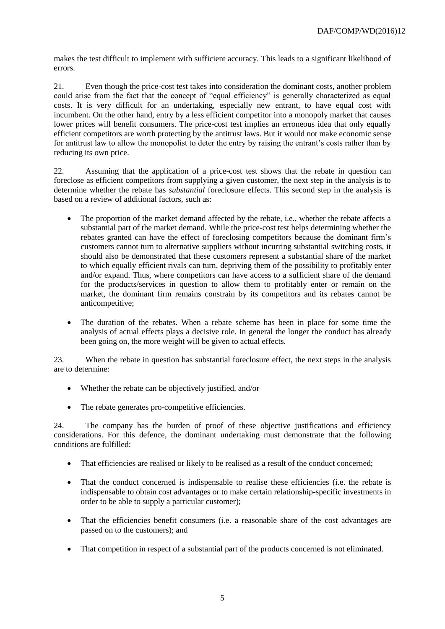makes the test difficult to implement with sufficient accuracy. This leads to a significant likelihood of errors.

21. Even though the price-cost test takes into consideration the dominant costs, another problem could arise from the fact that the concept of "equal efficiency" is generally characterized as equal costs. It is very difficult for an undertaking, especially new entrant, to have equal cost with incumbent. On the other hand, entry by a less efficient competitor into a monopoly market that causes lower prices will benefit consumers. The price-cost test implies an erroneous idea that only equally efficient competitors are worth protecting by the antitrust laws. But it would not make economic sense for antitrust law to allow the monopolist to deter the entry by raising the entrant's costs rather than by reducing its own price.

22. Assuming that the application of a price-cost test shows that the rebate in question can foreclose as efficient competitors from supplying a given customer, the next step in the analysis is to determine whether the rebate has *substantial* foreclosure effects. This second step in the analysis is based on a review of additional factors, such as:

- The proportion of the market demand affected by the rebate, i.e., whether the rebate affects a substantial part of the market demand. While the price-cost test helps determining whether the rebates granted can have the effect of foreclosing competitors because the dominant firm's customers cannot turn to alternative suppliers without incurring substantial switching costs, it should also be demonstrated that these customers represent a substantial share of the market to which equally efficient rivals can turn, depriving them of the possibility to profitably enter and/or expand. Thus, where competitors can have access to a sufficient share of the demand for the products/services in question to allow them to profitably enter or remain on the market, the dominant firm remains constrain by its competitors and its rebates cannot be anticompetitive;
- The duration of the rebates. When a rebate scheme has been in place for some time the analysis of actual effects plays a decisive role. In general the longer the conduct has already been going on, the more weight will be given to actual effects.

23. When the rebate in question has substantial foreclosure effect, the next steps in the analysis are to determine:

- Whether the rebate can be objectively justified, and/or
- The rebate generates pro-competitive efficiencies.

24. The company has the burden of proof of these objective justifications and efficiency considerations. For this defence, the dominant undertaking must demonstrate that the following conditions are fulfilled:

- That efficiencies are realised or likely to be realised as a result of the conduct concerned;
- That the conduct concerned is indispensable to realise these efficiencies (i.e. the rebate is indispensable to obtain cost advantages or to make certain relationship-specific investments in order to be able to supply a particular customer);
- That the efficiencies benefit consumers (i.e. a reasonable share of the cost advantages are passed on to the customers); and
- That competition in respect of a substantial part of the products concerned is not eliminated.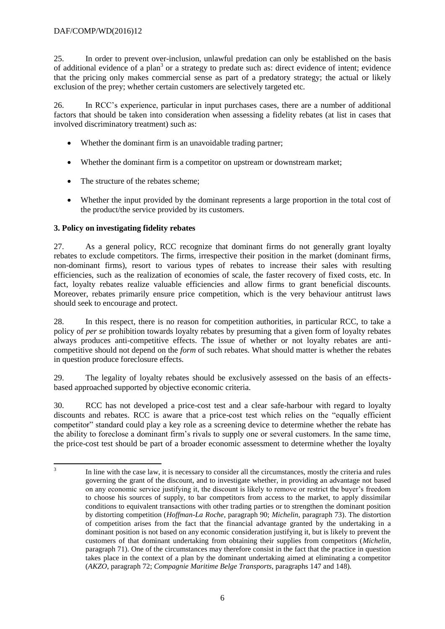25. In order to prevent over-inclusion, unlawful predation can only be established on the basis of additional evidence of a plan<sup>3</sup> or a strategy to predate such as: direct evidence of intent; evidence that the pricing only makes commercial sense as part of a predatory strategy; the actual or likely exclusion of the prey; whether certain customers are selectively targeted etc.

26. In RCC's experience, particular in input purchases cases, there are a number of additional factors that should be taken into consideration when assessing a fidelity rebates (at list in cases that involved discriminatory treatment) such as:

- Whether the dominant firm is an unavoidable trading partner;
- Whether the dominant firm is a competitor on upstream or downstream market:
- The structure of the rebates scheme:
- Whether the input provided by the dominant represents a large proportion in the total cost of the product/the service provided by its customers.

# **3. Policy on investigating fidelity rebates**

27. As a general policy, RCC recognize that dominant firms do not generally grant loyalty rebates to exclude competitors. The firms, irrespective their position in the market (dominant firms, non-dominant firms), resort to various types of rebates to increase their sales with resulting efficiencies, such as the realization of economies of scale, the faster recovery of fixed costs, etc. In fact, loyalty rebates realize valuable efficiencies and allow firms to grant beneficial discounts. Moreover, rebates primarily ensure price competition, which is the very behaviour antitrust laws should seek to encourage and protect.

28. In this respect, there is no reason for competition authorities, in particular RCC, to take a policy of *per se* prohibition towards loyalty rebates by presuming that a given form of loyalty rebates always produces anti-competitive effects. The issue of whether or not loyalty rebates are anticompetitive should not depend on the *form* of such rebates. What should matter is whether the rebates in question produce foreclosure effects.

29. The legality of loyalty rebates should be exclusively assessed on the basis of an effectsbased approached supported by objective economic criteria.

30. RCC has not developed a price-cost test and a clear safe-harbour with regard to loyalty discounts and rebates. RCC is aware that a price-cost test which relies on the "equally efficient competitor" standard could play a key role as a screening device to determine whether the rebate has the ability to foreclose a dominant firm's rivals to supply one or several customers. In the same time, the price-cost test should be part of a broader economic assessment to determine whether the loyalty

 $\frac{1}{3}$ In line with the case law, it is necessary to consider all the circumstances, mostly the criteria and rules governing the grant of the discount, and to investigate whether, in providing an advantage not based on any economic service justifying it, the discount is likely to remove or restrict the buyer's freedom to choose his sources of supply, to bar competitors from access to the market, to apply dissimilar conditions to equivalent transactions with other trading parties or to strengthen the dominant position by distorting competition (*Hoffman-La Roche*, paragraph 90; *Michelin*, paragraph 73). The distortion of competition arises from the fact that the financial advantage granted by the undertaking in a dominant position is not based on any economic consideration justifying it, but is likely to prevent the customers of that dominant undertaking from obtaining their supplies from competitors (*Michelin*, paragraph 71). One of the circumstances may therefore consist in the fact that the practice in question takes place in the context of a plan by the dominant undertaking aimed at eliminating a competitor (*AKZO*, paragraph 72; *Compagnie Maritime Belge Transports*, paragraphs 147 and 148).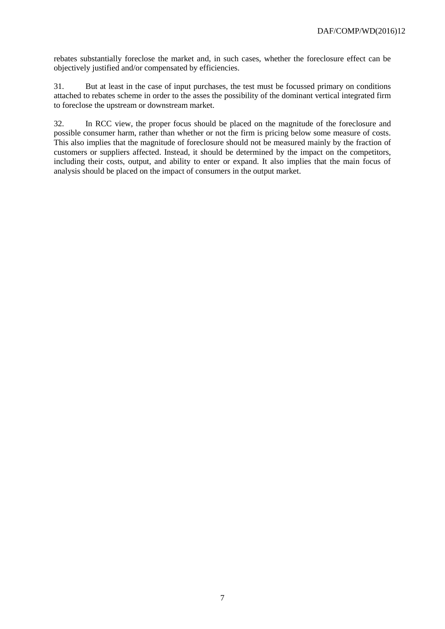rebates substantially foreclose the market and, in such cases, whether the foreclosure effect can be objectively justified and/or compensated by efficiencies.

31. But at least in the case of input purchases, the test must be focussed primary on conditions attached to rebates scheme in order to the asses the possibility of the dominant vertical integrated firm to foreclose the upstream or downstream market.

32. In RCC view, the proper focus should be placed on the magnitude of the foreclosure and possible consumer harm, rather than whether or not the firm is pricing below some measure of costs. This also implies that the magnitude of foreclosure should not be measured mainly by the fraction of customers or suppliers affected. Instead, it should be determined by the impact on the competitors, including their costs, output, and ability to enter or expand. It also implies that the main focus of analysis should be placed on the impact of consumers in the output market.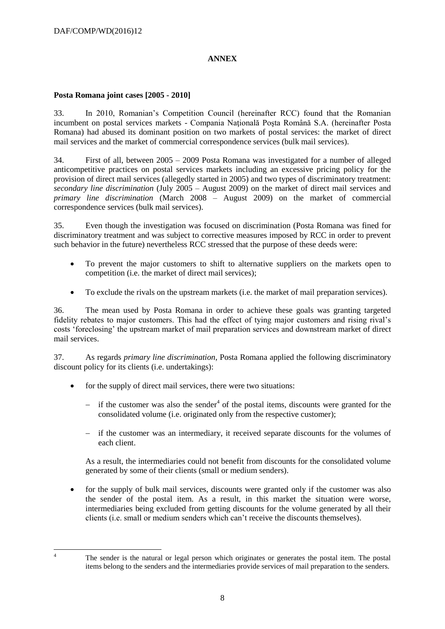# **ANNEX**

### **Posta Romana joint cases [2005 - 2010]**

33. In 2010, Romanian's Competition Council (hereinafter RCC) found that the Romanian incumbent on postal services markets - Compania Naţională Poşta Română S.A. (hereinafter Posta Romana) had abused its dominant position on two markets of postal services: the market of direct mail services and the market of commercial correspondence services (bulk mail services).

34. First of all, between 2005 – 2009 Posta Romana was investigated for a number of alleged anticompetitive practices on postal services markets including an excessive pricing policy for the provision of direct mail services (allegedly started in 2005) and two types of discriminatory treatment: *secondary line discrimination* (July 2005 – August 2009) on the market of direct mail services and *primary line discrimination* (March 2008 – August 2009) on the market of commercial correspondence services (bulk mail services).

35. Even though the investigation was focused on discrimination (Posta Romana was fined for discriminatory treatment and was subject to corrective measures imposed by RCC in order to prevent such behavior in the future) nevertheless RCC stressed that the purpose of these deeds were:

- To prevent the major customers to shift to alternative suppliers on the markets open to competition (i.e. the market of direct mail services);
- To exclude the rivals on the upstream markets (i.e. the market of mail preparation services).

36. The mean used by Posta Romana in order to achieve these goals was granting targeted fidelity rebates to major customers. This had the effect of tying major customers and rising rival's costs 'foreclosing' the upstream market of mail preparation services and downstream market of direct mail services.

37. As regards *primary line discrimination*, Posta Romana applied the following discriminatory discount policy for its clients (i.e. undertakings):

- for the supply of direct mail services, there were two situations:
	- $-$  if the customer was also the sender<sup>4</sup> of the postal items, discounts were granted for the consolidated volume (i.e. originated only from the respective customer);
	- if the customer was an intermediary, it received separate discounts for the volumes of each client.

As a result, the intermediaries could not benefit from discounts for the consolidated volume generated by some of their clients (small or medium senders).

• for the supply of bulk mail services, discounts were granted only if the customer was also the sender of the postal item. As a result, in this market the situation were worse, intermediaries being excluded from getting discounts for the volume generated by all their clients (i.e. small or medium senders which can't receive the discounts themselves).

 $\overline{A}$ 

<sup>4</sup> The sender is the natural or legal person which originates or generates the postal item. The postal items belong to the senders and the intermediaries provide services of mail preparation to the senders.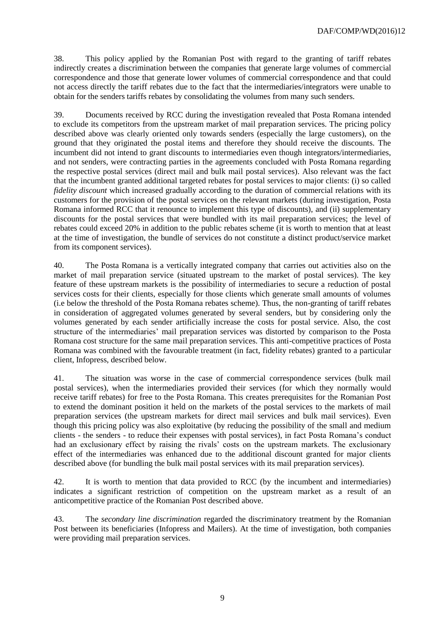38. This policy applied by the Romanian Post with regard to the granting of tariff rebates indirectly creates a discrimination between the companies that generate large volumes of commercial correspondence and those that generate lower volumes of commercial correspondence and that could not access directly the tariff rebates due to the fact that the intermediaries/integrators were unable to obtain for the senders tariffs rebates by consolidating the volumes from many such senders.

39. Documents received by RCC during the investigation revealed that Posta Romana intended to exclude its competitors from the upstream market of mail preparation services. The pricing policy described above was clearly oriented only towards senders (especially the large customers), on the ground that they originated the postal items and therefore they should receive the discounts. The incumbent did not intend to grant discounts to intermediaries even though integrators/intermediaries, and not senders, were contracting parties in the agreements concluded with Posta Romana regarding the respective postal services (direct mail and bulk mail postal services). Also relevant was the fact that the incumbent granted additional targeted rebates for postal services to major clients: (i) so called *fidelity discount* which increased gradually according to the duration of commercial relations with its customers for the provision of the postal services on the relevant markets (during investigation, Posta Romana informed RCC that it renounce to implement this type of discounts), and (ii) supplementary discounts for the postal services that were bundled with its mail preparation services; the level of rebates could exceed 20% in addition to the public rebates scheme (it is worth to mention that at least at the time of investigation, the bundle of services do not constitute a distinct product/service market from its component services).

40. The Posta Romana is a vertically integrated company that carries out activities also on the market of mail preparation service (situated upstream to the market of postal services). The key feature of these upstream markets is the possibility of intermediaries to secure a reduction of postal services costs for their clients, especially for those clients which generate small amounts of volumes (i.e below the threshold of the Posta Romana rebates scheme). Thus, the non-granting of tariff rebates in consideration of aggregated volumes generated by several senders, but by considering only the volumes generated by each sender artificially increase the costs for postal service. Also, the cost structure of the intermediaries' mail preparation services was distorted by comparison to the Posta Romana cost structure for the same mail preparation services. This anti-competitive practices of Posta Romana was combined with the favourable treatment (in fact, fidelity rebates) granted to a particular client, Infopress, described below.

41. The situation was worse in the case of commercial correspondence services (bulk mail postal services), when the intermediaries provided their services (for which they normally would receive tariff rebates) for free to the Posta Romana. This creates prerequisites for the Romanian Post to extend the dominant position it held on the markets of the postal services to the markets of mail preparation services (the upstream markets for direct mail services and bulk mail services). Even though this pricing policy was also exploitative (by reducing the possibility of the small and medium clients - the senders - to reduce their expenses with postal services), in fact Posta Romana's conduct had an exclusionary effect by raising the rivals' costs on the upstream markets. The exclusionary effect of the intermediaries was enhanced due to the additional discount granted for major clients described above (for bundling the bulk mail postal services with its mail preparation services).

42. It is worth to mention that data provided to RCC (by the incumbent and intermediaries) indicates a significant restriction of competition on the upstream market as a result of an anticompetitive practice of the Romanian Post described above.

43. The *secondary line discrimination* regarded the discriminatory treatment by the Romanian Post between its beneficiaries (Infopress and Mailers). At the time of investigation, both companies were providing mail preparation services.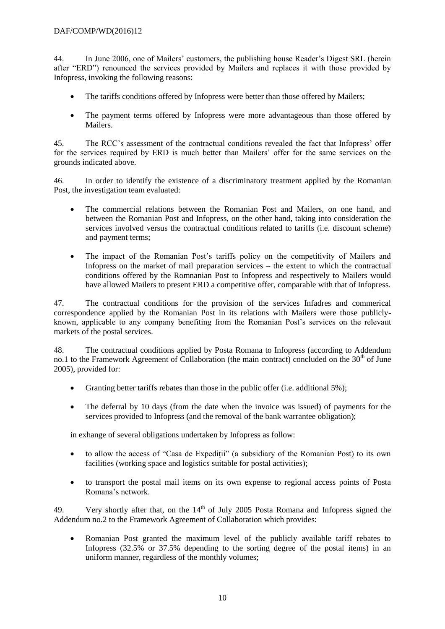## DAF/COMP/WD(2016)12

44. In June 2006, one of Mailers' customers, the publishing house Reader's Digest SRL (herein after "ERD") renounced the services provided by Mailers and replaces it with those provided by Infopress, invoking the following reasons:

- The tariffs conditions offered by Infopress were better than those offered by Mailers;
- The payment terms offered by Infopress were more advantageous than those offered by Mailers.

45. The RCC's assessment of the contractual conditions revealed the fact that Infopress' offer for the services required by ERD is much better than Mailers' offer for the same services on the grounds indicated above.

46. In order to identify the existence of a discriminatory treatment applied by the Romanian Post, the investigation team evaluated:

- The commercial relations between the Romanian Post and Mailers, on one hand, and between the Romanian Post and Infopress, on the other hand, taking into consideration the services involved versus the contractual conditions related to tariffs (i.e. discount scheme) and payment terms;
- The impact of the Romanian Post's tariffs policy on the competitivity of Mailers and Infopress on the market of mail preparation services – the extent to which the contractual conditions offered by the Romnanian Post to Infopress and respectively to Mailers would have allowed Mailers to present ERD a competitive offer, comparable with that of Infopress.

47. The contractual conditions for the provision of the services Infadres and commerical correspondence applied by the Romanian Post in its relations with Mailers were those publiclyknown, applicable to any company benefiting from the Romanian Post's services on the relevant markets of the postal services.

48. The contractual conditions applied by Posta Romana to Infopress (according to Addendum no.1 to the Framework Agreement of Collaboration (the main contract) concluded on the  $30<sup>th</sup>$  of June 2005), provided for:

- Granting better tariffs rebates than those in the public offer (i.e. additional 5%);
- The deferral by 10 days (from the date when the invoice was issued) of payments for the services provided to Infopress (and the removal of the bank warrantee obligation);

in exhange of several obligations undertaken by Infopress as follow:

- to allow the access of "Casa de Expeditii" (a subsidiary of the Romanian Post) to its own facilities (working space and logistics suitable for postal activities);
- to transport the postal mail items on its own expense to regional access points of Posta Romana's network.

49. Very shortly after that, on the  $14<sup>th</sup>$  of July 2005 Posta Romana and Infopress signed the Addendum no.2 to the Framework Agreement of Collaboration which provides:

 Romanian Post granted the maximum level of the publicly available tariff rebates to Infopress (32.5% or 37.5% depending to the sorting degree of the postal items) in an uniform manner, regardless of the monthly volumes;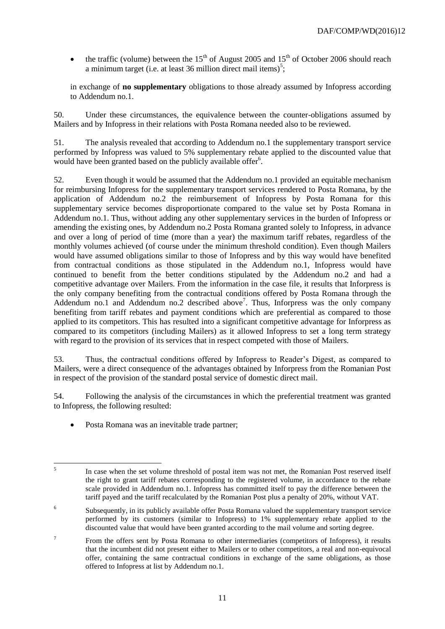the traffic (volume) between the  $15<sup>th</sup>$  of August 2005 and  $15<sup>th</sup>$  of October 2006 should reach a minimum target (i.e. at least 36 million direct mail items)<sup>5</sup>;

in exchange of **no supplementary** obligations to those already assumed by Infopress according to Addendum no.1.

50. Under these circumstances, the equivalence between the counter-obligations assumed by Mailers and by Infopress in their relations with Posta Romana needed also to be reviewed.

51. The analysis revealed that according to Addendum no.1 the supplementary transport service performed by Infopress was valued to 5% supplementary rebate applied to the discounted value that would have been granted based on the publicly available offer<sup>6</sup>.

52. Even though it would be assumed that the Addendum no.1 provided an equitable mechanism for reimbursing Infopress for the supplementary transport services rendered to Posta Romana, by the application of Addendum no.2 the reimbursement of Infopress by Posta Romana for this supplementary service becomes disproportionate compared to the value set by Posta Romana in Addendum no.1. Thus, without adding any other supplementary services in the burden of Infopress or amending the existing ones, by Addendum no.2 Posta Romana granted solely to Infopress, in advance and over a long of period of time (more than a year) the maximum tariff rebates, regardless of the monthly volumes achieved (of course under the minimum threshold condition). Even though Mailers would have assumed obligations similar to those of Infopress and by this way would have benefited from contractual conditions as those stipulated in the Addendum no.1, Infopress would have continued to benefit from the better conditions stipulated by the Addendum no.2 and had a competitive advantage over Mailers. From the information in the case file, it results that Inforpress is the only company benefiting from the contractual conditions offered by Posta Romana through the Addendum no.1 and Addendum no.2 described above<sup>7</sup>. Thus, Inforpress was the only company benefiting from tariff rebates and payment conditions which are preferential as compared to those applied to its competitors. This has resulted into a significant competitive advantage for Inforpress as compared to its competitors (including Mailers) as it allowed Infopress to set a long term strategy with regard to the provision of its services that in respect competed with those of Mailers.

53. Thus, the contractual conditions offered by Infopress to Reader's Digest, as compared to Mailers, were a direct consequence of the advantages obtained by Inforpress from the Romanian Post in respect of the provision of the standard postal service of domestic direct mail.

54. Following the analysis of the circumstances in which the preferential treatment was granted to Infopress, the following resulted:

Posta Romana was an inevitable trade partner;

 $\frac{1}{5}$ In case when the set volume threshold of postal item was not met, the Romanian Post reserved itself the right to grant tariff rebates corresponding to the registered volume, in accordance to the rebate scale provided in Addendum no.1. Infopress has committed itself to pay the difference between the tariff payed and the tariff recalculated by the Romanian Post plus a penalty of 20%, without VAT.

<sup>6</sup> Subsequently, in its publicly available offer Posta Romana valued the supplementary transport service performed by its customers (similar to Infopress) to 1% supplementary rebate applied to the discounted value that would have been granted according to the mail volume and sorting degree.

<sup>7</sup> From the offers sent by Posta Romana to other intermediaries (competitors of Infopress), it results that the incumbent did not present either to Mailers or to other competitors, a real and non-equivocal offer, containing the same contractual conditions in exchange of the same obligations, as those offered to Infopress at list by Addendum no.1.